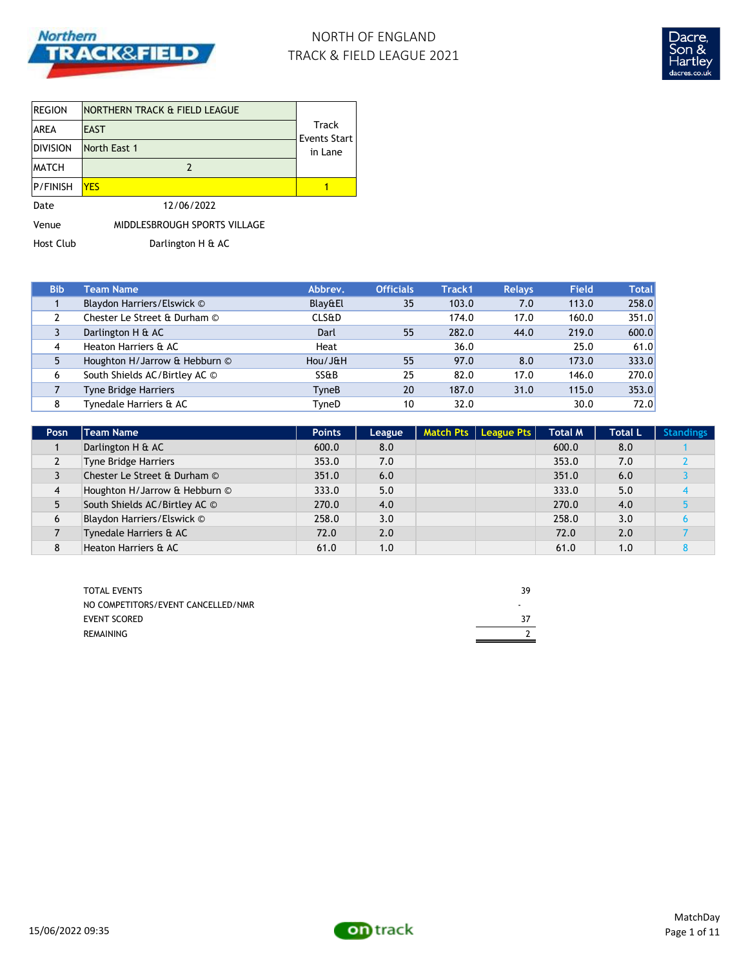

# NORTH OF ENGLAND TRACK & FIELD LEAGUE 2021



| <b>REGION</b>   | NORTHERN TRACK & FIELD LEAGUE |                       |  |
|-----------------|-------------------------------|-----------------------|--|
| IAREA           | <b>EAST</b>                   | Track<br>Events Start |  |
| Division        | North East 1                  | in Lane               |  |
| <b>IMATCH</b>   | 2                             |                       |  |
| <b>P/FINISH</b> | <b>YFS</b>                    |                       |  |
| Date            | 12/06/2022                    |                       |  |
| Venue           | MIDDLESBROUGH SPORTS VILLAGE  |                       |  |

Host Club Darlington H & AC

| <b>Bib</b> | <b>Team Name</b>              | Abbrev.          | <b>Officials</b> | Track1 | <b>Relays</b> | <b>Field</b> | <b>Total</b> |
|------------|-------------------------------|------------------|------------------|--------|---------------|--------------|--------------|
|            | Blaydon Harriers/Elswick ©    | Blay&El          | 35               | 103.0  | 7.0           | 113.0        | 258.0        |
|            | Chester Le Street & Durham ©  | <b>CLS&amp;D</b> |                  | 174.0  | 17.0          | 160.0        | 351.0        |
|            | Darlington H & AC             | Darl             | 55               | 282.0  | 44.0          | 219.0        | 600.0        |
| 4          | Heaton Harriers & AC          | Heat             |                  | 36.0   |               | 25.0         | 61.0         |
|            | Houghton H/Jarrow & Hebburn © | Hou/J&H          | 55               | 97.0   | 8.0           | 173.0        | 333.0        |
| 6          | South Shields AC/Birtley AC © | SS&B             | 25               | 82.0   | 17.0          | 146.0        | 270.0        |
|            | <b>Tyne Bridge Harriers</b>   | TyneB            | 20               | 187.0  | 31.0          | 115.0        | 353.0        |
| 8          | Tynedale Harriers & AC        | TyneD            | 10               | 32.0   |               | 30.0         | 72.0         |

| Posn | <b>Team Name</b>              | <b>Points</b> | League | Match Pts   League Pts | <b>Total M</b> | <b>Total L</b> | <b>Standings</b> |
|------|-------------------------------|---------------|--------|------------------------|----------------|----------------|------------------|
|      | Darlington H & AC             | 600.0         | 8.0    |                        | 600.0          | 8.0            |                  |
| L    | Tyne Bridge Harriers          | 353.0         | 7.0    |                        | 353.0          | 7.0            |                  |
| 3    | Chester Le Street & Durham ©  | 351.0         | 6.0    |                        | 351.0          | 6.0            |                  |
| 4    | Houghton H/Jarrow & Hebburn © | 333.0         | 5.0    |                        | 333.0          | 5.0            |                  |
| 5    | South Shields AC/Birtley AC © | 270.0         | 4.0    |                        | 270.0          | 4.0            |                  |
| 6    | Blaydon Harriers/Elswick ©    | 258.0         | 3.0    |                        | 258.0          | 3.0            |                  |
|      | Tynedale Harriers & AC        | 72.0          | 2.0    |                        | 72.0           | 2.0            |                  |
| 8    | Heaton Harriers & AC          | 61.0          | 1.0    |                        | 61.0           | 1.0            |                  |

| <b>TOTAL EVENTS</b>                | 39 |
|------------------------------------|----|
| NO COMPETITORS/EVENT CANCELLED/NMR |    |
| EVENT SCORED                       |    |
| REMAINING                          |    |

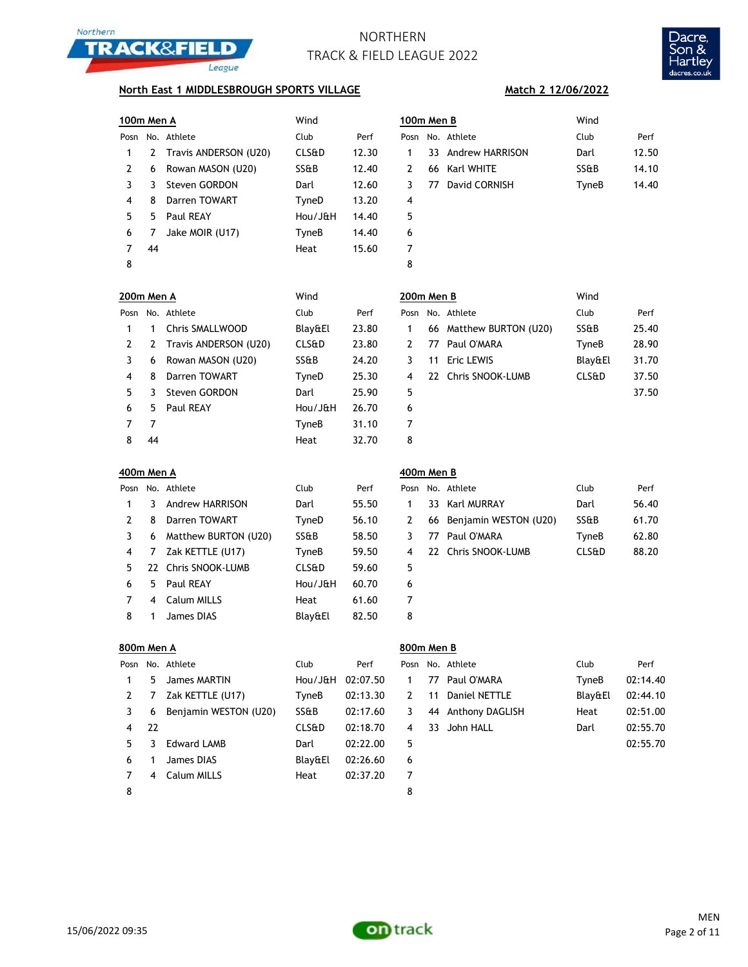



### **North East 1 MIDDLESBROUGH SPORTS VILLAGE**

|      | Wind<br>100m Men A |                       |                  |       | 100m Men B               | Wind  |       |
|------|--------------------|-----------------------|------------------|-------|--------------------------|-------|-------|
| Posn |                    | No. Athlete           | Club             | Perf  | No. Athlete<br>Posn      | Club  | Perf  |
|      | 2                  | Travis ANDERSON (U20) | <b>CLS&amp;D</b> | 12.30 | 33 Andrew HARRISON       | Darl  | 12.50 |
| 2    | 6                  | Rowan MASON (U20)     | SS&B             | 12.40 | 66 Karl WHITE<br>2       | SS&B  | 14.10 |
| 3    |                    | Steven GORDON         | Darl             | 12.60 | David CORNISH<br>3<br>77 | TyneB | 14.40 |
| 4    | 8                  | Darren TOWART         | TyneD            | 13.20 | 4                        |       |       |
| 5.   | 5.                 | Paul REAY             | Hou/J&H          | 14.40 | 5                        |       |       |
| 6    |                    | Jake MOIR (U17)       | TyneB            | 14.40 | 6                        |       |       |
|      | 44                 |                       | Heat             | 15.60 | 7                        |       |       |
| 8    |                    |                       |                  |       | 8                        |       |       |

| m Men B |                    | Wind  |       |  |  |  |  |
|---------|--------------------|-------|-------|--|--|--|--|
|         | No. Athlete        | Club  | Perf  |  |  |  |  |
|         | 33 Andrew HARRISON | Darl  | 12.50 |  |  |  |  |
|         | 66 Karl WHITE      | SS&B  | 14.10 |  |  |  |  |
| 77      | David CORNISH      | TyneB | 14.40 |  |  |  |  |
|         |                    |       |       |  |  |  |  |
|         |                    |       |       |  |  |  |  |
|         |                    |       |       |  |  |  |  |
|         |                    |       |       |  |  |  |  |
|         |                    |       |       |  |  |  |  |

**Match 2 12/06/2022**

| 200m Men A |    |                       | Wind             |       |      | 200m Men B |                         | Wind             |      |
|------------|----|-----------------------|------------------|-------|------|------------|-------------------------|------------------|------|
| Posn       |    | No. Athlete           | Club             | Perf  | Posn |            | No. Athlete             | Club             | Perf |
|            |    | Chris SMALLWOOD       | Blay&El          | 23.80 |      |            | 66 Matthew BURTON (U20) | SS&B             | 25.4 |
|            | 2  | Travis ANDERSON (U20) | <b>CLS&amp;D</b> | 23.80 | 2    | 77         | Paul O'MARA             | TyneB            | 28.9 |
| 3.         | 6  | Rowan MASON (U20)     | SS&B             | 24.20 | 3    | 11         | Eric LEWIS              | Blay&El          | 31.7 |
| 4          | 8  | Darren TOWART         | TyneD            | 25.30 | 4    |            | 22 Chris SNOOK-LUMB     | <b>CLS&amp;D</b> | 37.5 |
| 5.         |    | Steven GORDON         | Darl             | 25.90 | 5    |            |                         |                  | 37.5 |
| 6          | 5  | Paul REAY             | Hou/J&H          | 26.70 | 6    |            |                         |                  |      |
|            | 7  |                       | TyneB            | 31.10 | 7    |            |                         |                  |      |
| 8          | 44 |                       | Heat             | 32.70 | 8    |            |                         |                  |      |

| 00m Men A |    |                       | Wind             | 200m Men B |   |    | Wind                    |                  |       |
|-----------|----|-----------------------|------------------|------------|---|----|-------------------------|------------------|-------|
|           |    | osn No. Athlete       | Club             | Perf       |   |    | Posn No. Athlete        | Club             | Perf  |
| 1.        |    | Chris SMALLWOOD       | Blay&El          | 23.80      |   |    | 66 Matthew BURTON (U20) | SS&B             | 25.40 |
|           | 2  | Travis ANDERSON (U20) | <b>CLS&amp;D</b> | 23.80      |   | 77 | Paul O'MARA             | TyneB            | 28.90 |
| 3         | 6  | Rowan MASON (U20)     | SS&B             | 24.20      |   | 11 | Eric LEWIS              | Blay&El          | 31.70 |
| 4         | 8  | Darren TOWART         | TyneD            | 25.30      | 4 |    | 22 Chris SNOOK-LUMB     | <b>CLS&amp;D</b> | 37.50 |
| 5         | 3. | Steven GORDON         | Darl             | 25.90      | 5 |    |                         |                  | 37.50 |
| 6.        | 5. | Paul REAY             | Hou/J&H          | 26.70      | 6 |    |                         |                  |       |
|           |    |                       | TyneB            | 31.10      | 7 |    |                         |                  |       |
|           |    |                       |                  |            |   |    |                         |                  |       |

|    |    | Posn No. Athlete     | Club             | Perf  | Posn |    | No. Athlete              | Club             | Perf  |
|----|----|----------------------|------------------|-------|------|----|--------------------------|------------------|-------|
|    | 3  | Andrew HARRISON      | Darl             | 55.50 |      |    | 33 Karl MURRAY           | Darl             | 56.40 |
|    | 8  | Darren TOWART        | TyneD            | 56.10 | 2    |    | 66 Benjamin WESTON (U20) | SS&B             | 61.70 |
|    | 6  | Matthew BURTON (U20) | SS&B             | 58.50 | 3    | 77 | Paul O'MARA              | TyneB            | 62.80 |
| 4  | 7  | Zak KETTLE (U17)     | TyneB            | 59.50 | 4    |    | 22 Chris SNOOK-LUMB      | <b>CLS&amp;D</b> | 88.20 |
| 5. |    | 22 Chris SNOOK-LUMB  | <b>CLS&amp;D</b> | 59.60 | 5    |    |                          |                  |       |
| 6  | 5. | Paul REAY            | Hou/J&H          | 60.70 | 6    |    |                          |                  |       |
|    | 4  | Calum MILLS          | Heat             | 61.60 | 7    |    |                          |                  |       |
| 8  |    | James DIAS           | Blay&El          | 82.50 | 8    |    |                          |                  |       |

## **400m Men A 400m Men B**

|   | Posn No. Athlete         | Club             | Perf  |
|---|--------------------------|------------------|-------|
|   | 33 Karl MURRAY           | Darl             | 56.40 |
| 2 | 66 Benjamin WESTON (U20) | SS&B             | 61.70 |
| 3 | 77 Paul O'MARA           | TyneB            | 62.80 |
| 4 | 22 Chris SNOOK-LUMB      | <b>CLS&amp;D</b> | 88.20 |
| 5 |                          |                  |       |
| 6 |                          |                  |       |
|   |                          |                  |       |

|               | 800m Men A |                       |                  |          | 800m Men B    |    |                    |         |          |
|---------------|------------|-----------------------|------------------|----------|---------------|----|--------------------|---------|----------|
| Posn          |            | No. Athlete           | Club             | Perf     |               |    | Posn No. Athlete   | Club    | Perf     |
|               | 5          | James MARTIN          | Hou/J&H          | 02:07.50 | 1             |    | 77 Paul O'MARA     | TyneB   | 02:14.40 |
| $\mathcal{L}$ |            | Zak KETTLE (U17)      | TyneB            | 02:13.30 | $\mathcal{P}$ | 11 | Daniel NETTLE      | Blay&El | 02:44.10 |
| 3             | 6          | Benjamin WESTON (U20) | SS&B             | 02:17.60 | 3             |    | 44 Anthony DAGLISH | Heat    | 02:51.00 |
| 4             | -22        |                       | <b>CLS&amp;D</b> | 02:18.70 | 4             | 33 | John HALL          | Darl    | 02:55.70 |
| 5.            | 3          | <b>Edward LAMB</b>    | Darl             | 02:22.00 | 5             |    |                    |         | 02:55.70 |
| 6             |            | James DIAS            | Blav&El          | 02:26.60 | 6             |    |                    |         |          |
|               | 4          | Calum MILLS           | Heat             | 02:37.20 | 7             |    |                    |         |          |
| 8             |            |                       |                  |          | 8             |    |                    |         |          |

| Blay&El | 02:44.10 |
|---------|----------|
| Heat    | 02:51.00 |
| Darl    | 02:55.70 |
|         | 02:55.70 |
|         |          |

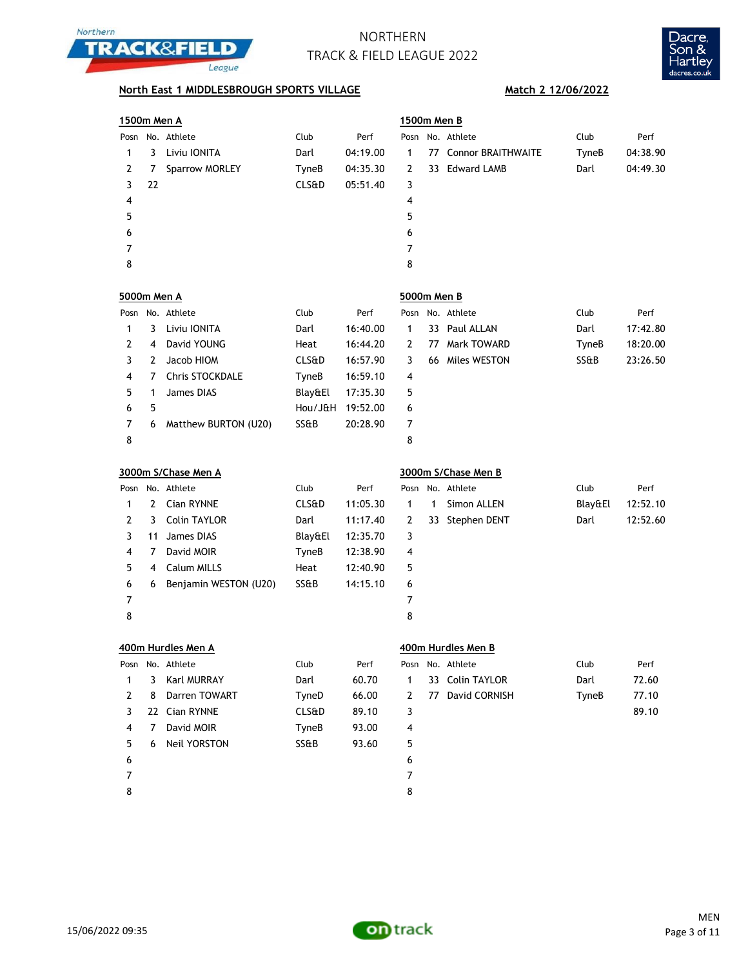



## **North East 1 MIDDLESBROUGH SPORTS VILLAGE Match 2 12/06/2022**

|                    | <u>1500m Men A</u> |                       |                  |          |                | 1500m Men B  |                           |         |          |  |  |
|--------------------|--------------------|-----------------------|------------------|----------|----------------|--------------|---------------------------|---------|----------|--|--|
| Posn               |                    | No. Athlete           | Club             | Perf     | Posn           |              | No. Athlete               | Club    | Perf     |  |  |
| 1                  | 3                  | Liviu IONITA          | Darl             | 04:19.00 | 1              | 77           | <b>Connor BRAITHWAITE</b> | TyneB   | 04:38.90 |  |  |
| 2                  | 7                  | Sparrow MORLEY        | TyneB            | 04:35.30 | 2              | 33           | Edward LAMB               | Darl    | 04:49.30 |  |  |
| 3                  | 22                 |                       | <b>CLS&amp;D</b> | 05:51.40 | 3              |              |                           |         |          |  |  |
| 4                  |                    |                       |                  |          | 4              |              |                           |         |          |  |  |
| 5                  |                    |                       |                  |          | 5              |              |                           |         |          |  |  |
| 6                  |                    |                       |                  |          | 6              |              |                           |         |          |  |  |
| 7                  |                    |                       |                  |          | $\overline{7}$ |              |                           |         |          |  |  |
| 8                  |                    |                       |                  |          | 8              |              |                           |         |          |  |  |
| <b>5000m Men A</b> |                    |                       |                  |          | 5000m Men B    |              |                           |         |          |  |  |
|                    |                    | Posn No. Athlete      | Club             | Perf     | Posn           |              | No. Athlete               | Club    | Perf     |  |  |
| 1                  | 3                  | Liviu IONITA          | Darl             | 16:40.00 | 1              |              | 33 Paul ALLAN             | Darl    | 17:42.80 |  |  |
| 2                  | 4                  | David YOUNG           | Heat             | 16:44.20 | 2              | 77           | Mark TOWARD               | TyneB   | 18:20.00 |  |  |
| 3                  | 2                  | Jacob HIOM            | <b>CLS&amp;D</b> | 16:57.90 | 3              |              | 66 Miles WESTON           | SS&B    | 23:26.50 |  |  |
| 4                  | 7                  | Chris STOCKDALE       | TyneB            | 16:59.10 | 4              |              |                           |         |          |  |  |
| 5                  | 1                  | <b>James DIAS</b>     | Blay&El          | 17:35.30 | 5              |              |                           |         |          |  |  |
| 6                  | 5                  |                       | Hou/J&H          | 19:52.00 | 6              |              |                           |         |          |  |  |
| 7                  | 6                  | Matthew BURTON (U20)  | SS&B             | 20:28.90 | 7              |              |                           |         |          |  |  |
| 8                  |                    |                       |                  |          | 8              |              |                           |         |          |  |  |
|                    |                    | 3000m S/Chase Men A   |                  |          |                |              | 3000m S/Chase Men B       |         |          |  |  |
| Posn               |                    | No. Athlete           | Club             | Perf     | Posn           |              | No. Athlete               | Club    | Perf     |  |  |
| 1                  | 2                  | Cian RYNNE            | CLS&D            | 11:05.30 | 1              | $\mathbf{1}$ | Simon ALLEN               | Blay&El | 12:52.10 |  |  |
| 2                  | 3                  | <b>Colin TAYLOR</b>   | Darl             | 11:17.40 | 2              |              | 33 Stephen DENT           | Darl    | 12:52.60 |  |  |
| 3                  | 11                 | James DIAS            | Blay&El          | 12:35.70 | 3              |              |                           |         |          |  |  |
| 4                  | 7                  | David MOIR            | TyneB            | 12:38.90 | 4              |              |                           |         |          |  |  |
| 5                  | 4                  | Calum MILLS           | Heat             | 12:40.90 | 5              |              |                           |         |          |  |  |
| 6                  | 6                  | Benjamin WESTON (U20) | SS&B             | 14:15.10 | 6              |              |                           |         |          |  |  |
| 7                  |                    |                       |                  |          | 7              |              |                           |         |          |  |  |
| 8                  |                    |                       |                  |          | 8              |              |                           |         |          |  |  |
|                    |                    | 400m Hurdles Men A    |                  |          |                |              | 400m Hurdles Men B        |         |          |  |  |
| Posn               |                    | No. Athlete           | Club             | Perf     | Posn           |              | No. Athlete               | Club    | Perf     |  |  |
| 1                  | 3                  | Karl MURRAY           | Darl             | 60.70    | 1              |              | 33 Colin TAYLOR           | Darl    | 72.60    |  |  |
| 2                  | 8                  | Darren TOWART         | TyneD            | 66.00    | 2              |              | 77 David CORNISH          | TyneB   | 77.10    |  |  |
| 3                  | 22                 | Cian RYNNE            | <b>CLS&amp;D</b> | 89.10    | 3              |              |                           |         | 89.10    |  |  |
| 4                  | 7                  | David MOIR            | <b>TyneB</b>     | 93.00    | 4              |              |                           |         |          |  |  |
| 5                  | 6                  | Neil YORSTON          | SS&B             | 93.60    | 5              |              |                           |         |          |  |  |
| 6                  |                    |                       |                  |          | 6              |              |                           |         |          |  |  |
| 7                  |                    |                       |                  |          | 7              |              |                           |         |          |  |  |
| 8                  |                    |                       |                  |          | 8              |              |                           |         |          |  |  |

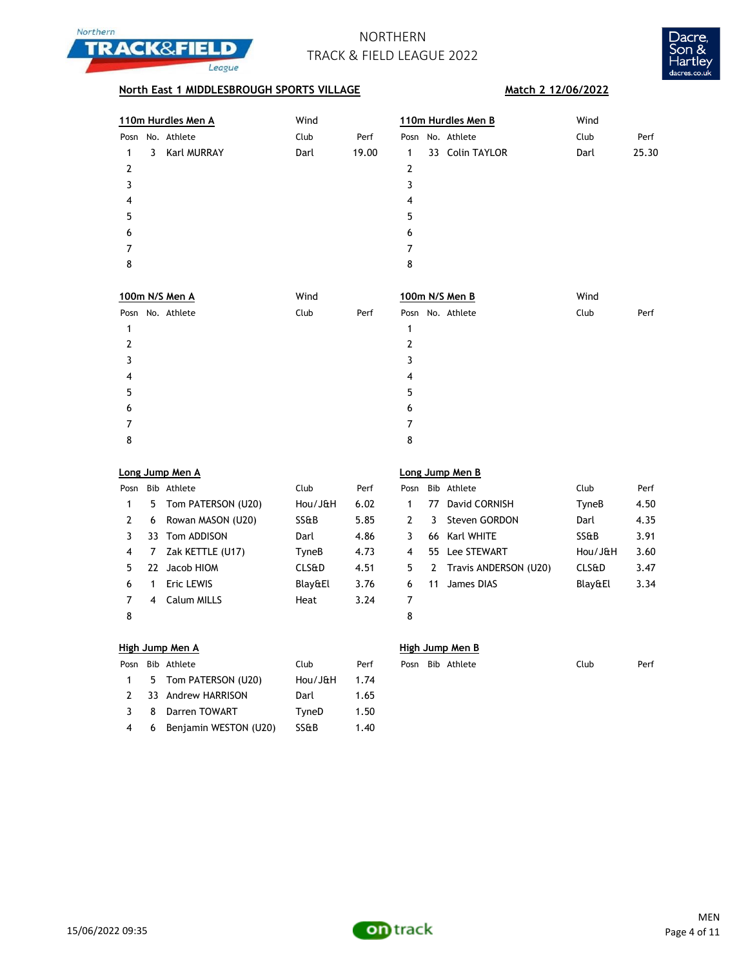



## **North East 1 MIDDLESBROUGH SPORTS VILLAGE Match 2 12/06/2022**

|      |   | 110m Hurdles Men A | Wind | 110m Hurdles Men B |      |  | Wind            |      |       |
|------|---|--------------------|------|--------------------|------|--|-----------------|------|-------|
| Posn |   | No. Athlete        | Club | Perf               | Posn |  | No. Athlete     | Club | Perf  |
|      | 3 | <b>Karl MURRAY</b> | Darl | 19.00              | 1    |  | 33 Colin TAYLOR | Darl | 25.30 |
| 2    |   |                    |      |                    | 2    |  |                 |      |       |
| 3    |   |                    |      |                    | 3    |  |                 |      |       |
| 4    |   |                    |      |                    | 4    |  |                 |      |       |
| 5    |   |                    |      |                    | 5    |  |                 |      |       |
| 6    |   |                    |      |                    | 6    |  |                 |      |       |
|      |   |                    |      |                    | 7    |  |                 |      |       |
| 8    |   |                    |      |                    | 8    |  |                 |      |       |
|      |   |                    |      |                    |      |  |                 |      |       |

| 100m N/S Men A   | Wind |      | 100m N/S Men B   | Wind         |
|------------------|------|------|------------------|--------------|
| Posn No. Athlete | Club | Perf | Posn No. Athlete | Club<br>Perf |
|                  |      |      |                  |              |
| 2                |      |      | 2                |              |
| 3                |      |      | 3                |              |
| 4                |      |      | 4                |              |
| 5                |      |      | 5                |              |
| 6                |      |      | 6                |              |
|                  |      |      | 7                |              |
| 8                |      |      | 8                |              |

|      | Long Jump Men A |                      |                  |      |      |    | Long Jump Men B       |                  |      |  |  |  |
|------|-----------------|----------------------|------------------|------|------|----|-----------------------|------------------|------|--|--|--|
| Posn |                 | Bib Athlete          | Club             | Perf | Posn |    | Bib Athlete           | Club             | Perf |  |  |  |
|      |                 | 5 Tom PATERSON (U20) | Hou/J&H          | 6.02 |      | 77 | David CORNISH         | TyneB            | 4.50 |  |  |  |
| 2    | 6               | Rowan MASON (U20)    | SS&B             | 5.85 | 2    | 3. | Steven GORDON         | Darl             | 4.35 |  |  |  |
|      |                 | 33 Tom ADDISON       | Darl             | 4.86 | 3    |    | 66 Karl WHITE         | <b>SS&amp;B</b>  | 3.91 |  |  |  |
| 4    |                 | Zak KETTLE (U17)     | TyneB            | 4.73 | 4    |    | 55 Lee STEWART        | Hou/J&H          | 3.60 |  |  |  |
| 5.   | 77              | Jacob HIOM           | <b>CLS&amp;D</b> | 4.51 | 5.   | 2  | Travis ANDERSON (U20) | <b>CLS&amp;D</b> | 3.47 |  |  |  |
| 6    |                 | Eric LEWIS           | Blay&El          | 3.76 | 6    | 11 | James DIAS            | Blay&El          | 3.34 |  |  |  |
|      | 4               | Calum MILLS          | Heat             | 3.24 | 7    |    |                       |                  |      |  |  |  |
| 8    |                 |                      |                  |      | 8    |    |                       |                  |      |  |  |  |

## **Long Jump Men A Long Jump Men B**

| Posn    |   | Bib Athlete             | Club             | Perf |
|---------|---|-------------------------|------------------|------|
| 1       |   | 77 David CORNISH        | TyneB            | 4.50 |
| 2       | 3 | Steven GORDON           | Darl             | 4.35 |
| 3       |   | 66 Karl WHITE           | SS&B             | 3.91 |
| 4       |   | 55 Lee STEWART          | Hou/J&H          | 3.60 |
| 5       |   | 2 Travis ANDERSON (U20) | <b>CLS&amp;D</b> | 3.47 |
| 6       |   | 11 James DIAS           | Blay&El          | 3.34 |
| 7       |   |                         |                  |      |
| $\circ$ |   |                         |                  |      |

### **High Jump Men A High Jump Men B**

|  | Posn Bib Athlete          | Club    | Perf |  | Posn Bib Athlete | Club | Perf |
|--|---------------------------|---------|------|--|------------------|------|------|
|  | 1 5 Tom PATERSON (U20)    | Hou/J&H | 1.74 |  |                  |      |      |
|  | 2 33 Andrew HARRISON      | Darl    | 1.65 |  |                  |      |      |
|  | 3 8 Darren TOWART         | TvneD   | 1.50 |  |                  |      |      |
|  | 4 6 Benjamin WESTON (U20) | SS&B    | 1.40 |  |                  |      |      |

| . |                  |      |      |
|---|------------------|------|------|
|   | Posn Bib Athlete | Club | Perf |

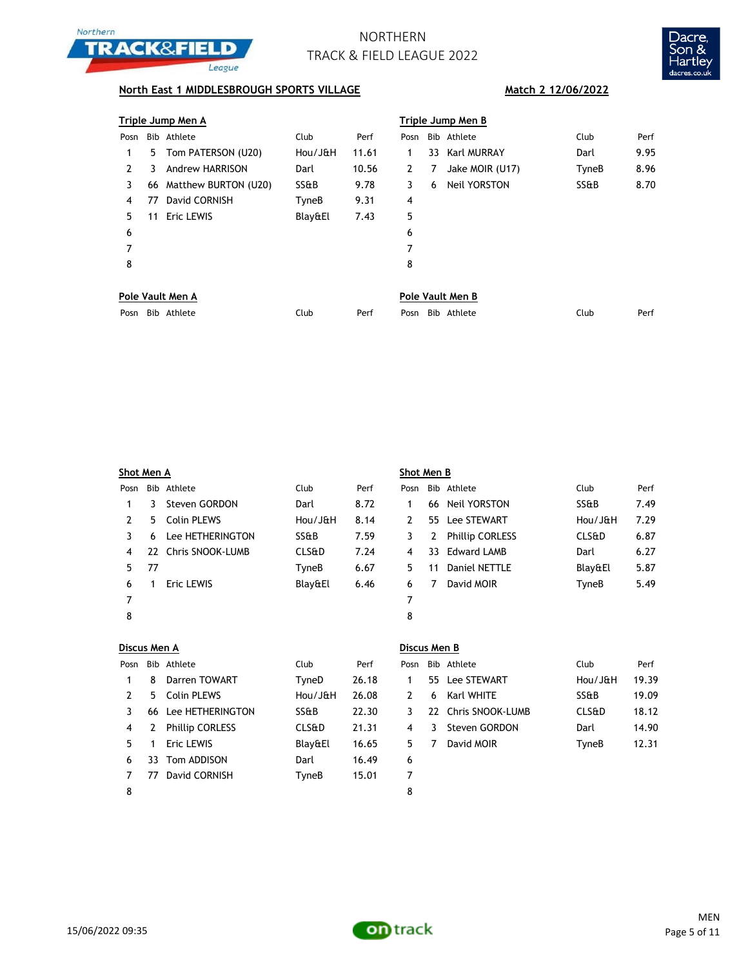



## **North East 1 MIDDLESBROUGH SPORTS VILLAGE Match 2 12/06/2022**

|      | Triple Jump Men A |                        |         |       |      |   | Triple Jump Men B   |       |      |  |  |  |  |
|------|-------------------|------------------------|---------|-------|------|---|---------------------|-------|------|--|--|--|--|
| Posn |                   | Bib Athlete            | Club    | Perf  | Posn |   | Bib Athlete         | Club  | Perf |  |  |  |  |
| 1    | 5.                | Tom PATERSON (U20)     | Hou/J&H | 11.61 |      |   | 33 Karl MURRAY      | Darl  | 9.95 |  |  |  |  |
| 2    | 3                 | <b>Andrew HARRISON</b> | Darl    | 10.56 | 2    | 7 | Jake MOIR (U17)     | TyneB | 8.96 |  |  |  |  |
| 3    | 66                | Matthew BURTON (U20)   | SS&B    | 9.78  | 3    | 6 | <b>Neil YORSTON</b> | SS&B  | 8.70 |  |  |  |  |
| 4    | 77                | David CORNISH          | TyneB   | 9.31  | 4    |   |                     |       |      |  |  |  |  |
| 5.   | 11                | Eric LEWIS             | Blay&El | 7.43  | 5    |   |                     |       |      |  |  |  |  |
| 6    |                   |                        |         |       | 6    |   |                     |       |      |  |  |  |  |
| 7    |                   |                        |         |       | 7    |   |                     |       |      |  |  |  |  |
| 8    |                   |                        |         |       | 8    |   |                     |       |      |  |  |  |  |
|      |                   | Pole Vault Men A       |         |       |      |   | Pole Vault Men B    |       |      |  |  |  |  |

|      |             |      | .   . |                         |      |      |  |  |
|------|-------------|------|-------|-------------------------|------|------|--|--|
| Posn | Bib Athlete | Club | Perf  | Bib.<br>Athlete<br>Posn | Club | Perf |  |  |

|      | Shot Men A |                     |                  |      |      | Shot Men B |                        |                  |      |  |  |
|------|------------|---------------------|------------------|------|------|------------|------------------------|------------------|------|--|--|
| Posn |            | Bib Athlete         | Club             | Perf | Posn |            | Bib Athlete            | Club             | Perf |  |  |
|      | 3.         | Steven GORDON       | Darl             | 8.72 |      | 66         | Neil YORSTON           | SS&B             | 7.49 |  |  |
| 2    | 5.         | Colin PLEWS         | Hou/JæH          | 8.14 | 2    | 55.        | Lee STEWART            | Hou/J&H          | 7.29 |  |  |
| 3    | 6          | Lee HETHERINGTON    | SS&B             | 7.59 | 3    | 2          | <b>Phillip CORLESS</b> | <b>CLS&amp;D</b> | 6.87 |  |  |
| 4    |            | 22 Chris SNOOK-LUMB | <b>CLS&amp;D</b> | 7.24 | 4    | 33         | Edward LAMB            | Darl             | 6.27 |  |  |
| 5.   | 77         |                     | TyneB            | 6.67 | 5.   | 11         | Daniel NETTLE          | Blay&El          | 5.87 |  |  |
| 6    |            | <b>Eric LEWIS</b>   | Blay&El          | 6.46 | 6    |            | David MOIR             | TyneB            | 5.49 |  |  |
| 7    |            |                     |                  |      | 7    |            |                        |                  |      |  |  |
| 8    |            |                     |                  |      | 8    |            |                        |                  |      |  |  |
|      |            |                     |                  |      |      |            |                        |                  |      |  |  |

|      | Discus Men A |                        |                  |       |      | Discus Men B |                     |                  |       |  |  |
|------|--------------|------------------------|------------------|-------|------|--------------|---------------------|------------------|-------|--|--|
| Posn |              | Bib Athlete            | Club             | Perf  | Posn |              | Bib Athlete         | Club             | Perf  |  |  |
|      | 8            | Darren TOWART          | TyneD            | 26.18 |      |              | 55 Lee STEWART      | Hou/J&H          | 19.39 |  |  |
| 2    | 5.           | Colin PLEWS            | Hou/J&H          | 26.08 | 2    | 6            | Karl WHITE          | SS&B             | 19.09 |  |  |
| 3    |              | 66 Lee HETHERINGTON    | SS&B             | 22.30 | 3    |              | 22 Chris SNOOK-LUMB | <b>CLS&amp;D</b> | 18.12 |  |  |
| 4    |              | <b>Phillip CORLESS</b> | <b>CLS&amp;D</b> | 21.31 | 4    | 3.           | Steven GORDON       | Darl             | 14.90 |  |  |
| 5.   |              | Eric LEWIS             | Blay&El          | 16.65 | 5.   | 7            | David MOIR          | TyneB            | 12.31 |  |  |
| 6    | 33           | Tom ADDISON            | Darl             | 16.49 | 6    |              |                     |                  |       |  |  |
|      | 77           | David CORNISH          | TyneB            | 15.01 | 7    |              |                     |                  |       |  |  |
| 8    |              |                        |                  |       | 8    |              |                     |                  |       |  |  |

### **Discus Men B**

| osn           |   | Bib Athlete         | Club             | Perf  |
|---------------|---|---------------------|------------------|-------|
| $\mathbf{1}$  |   | 55 Lee STEWART      | Hou/J&H          | 19.39 |
| $\mathcal{P}$ |   | 6 Karl WHITE        | SS&B             | 19.09 |
| 3             |   | 22 Chris SNOOK-LUMB | <b>CLS&amp;D</b> | 18.12 |
| 4             |   | 3 Steven GORDON     | Darl             | 14.90 |
| 5             | 7 | David MOIR          | TyneB            | 12.31 |
| $\epsilon$    |   |                     |                  |       |

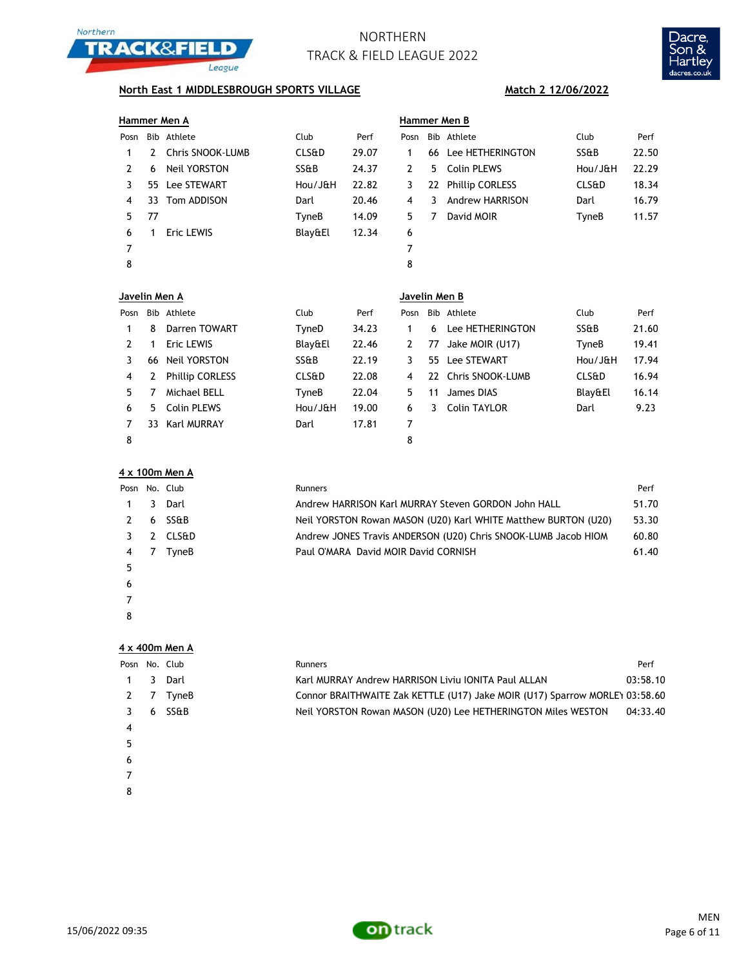



## **North East 1 MIDDLESBROUGH SPORTS VILLAGE Match 2 12/06/2022**

|    | Bib Athlete         |                                                |       | <b>Hammer Men B</b> |    |                 |                                                                           |       |  |  |
|----|---------------------|------------------------------------------------|-------|---------------------|----|-----------------|---------------------------------------------------------------------------|-------|--|--|
|    |                     | Club                                           | Perf  | Posn                |    | Bib Athlete     | Club                                                                      | Perf  |  |  |
|    | Chris SNOOK-LUMB    | <b>CLS&amp;D</b>                               | 29.07 | 1                   |    |                 | SS&B                                                                      | 22.50 |  |  |
| 6  | <b>Neil YORSTON</b> | SS&B                                           | 24.37 | 2                   | 5. |                 | Hou/J&H                                                                   | 22.29 |  |  |
|    |                     | Hou/J&H                                        | 22.82 | 3                   |    |                 | <b>CLS&amp;D</b>                                                          | 18.34 |  |  |
| 33 |                     | Darl                                           | 20.46 | 4                   | 3  | Andrew HARRISON | Darl                                                                      | 16.79 |  |  |
| 77 |                     | TyneB                                          | 14.09 | 5.                  | 7  | David MOIR      | TyneB                                                                     | 11.57 |  |  |
|    | Eric LEWIS          | Blay&El                                        | 12.34 | 6                   |    |                 |                                                                           |       |  |  |
|    |                     |                                                |       | 7                   |    |                 |                                                                           |       |  |  |
|    |                     |                                                |       | 8                   |    |                 |                                                                           |       |  |  |
|    |                     |                                                |       |                     |    |                 |                                                                           |       |  |  |
|    | 2                   | 55 Lee STEWART<br>Tom ADDISON<br>Javelin Men A |       |                     |    |                 | 66 Lee HETHERINGTON<br>Colin PLEWS<br>22 Phillip CORLESS<br>Javelin Men B |       |  |  |

| Posn |    | Bib Athlete            | Club             | Perf  | Posn |     | Bib Athlete         | Club             | Perf  |
|------|----|------------------------|------------------|-------|------|-----|---------------------|------------------|-------|
|      | 8  | Darren TOWART          | TyneD            | 34.23 |      | 6   | Lee HETHERINGTON    | SS&B             | 21.60 |
|      |    | Eric LEWIS             | Blay&El          | 22.46 | 2    | 77  | Jake MOIR (U17)     | TyneB            | 19.41 |
|      | 66 | <b>Neil YORSTON</b>    | SS&B             | 22.19 |      | 55. | <b>Lee STEWART</b>  | Hou/J&H          | 17.94 |
| -4   | 2  | <b>Phillip CORLESS</b> | <b>CLS&amp;D</b> | 22.08 | 4    |     | 22 Chris SNOOK-LUMB | <b>CLS&amp;D</b> | 16.94 |
|      |    | Michael BELL           | TyneB            | 22.04 | 5.   | 11  | James DIAS          | Blay&El          | 16.14 |
| 6    | 5. | Colin PLEWS            | Hou/JaH          | 19.00 | 6    | 3.  | Colin TAYLOR        | Darl             | 9.23  |
|      | 33 | Karl MURRAY            | Darl             | 17.81 | 7    |     |                     |                  |       |
| 8    |    |                        |                  |       | 8    |     |                     |                  |       |

|  |  |  |  |  | 4 x 100m Men A |  |
|--|--|--|--|--|----------------|--|
|--|--|--|--|--|----------------|--|

|    | Posn No. Club | Runners                                                        | Perf  |
|----|---------------|----------------------------------------------------------------|-------|
|    | 1 3 Darl      | Andrew HARRISON Karl MURRAY Steven GORDON John HALL            | 51.70 |
|    | 2 6 SS&B      | Neil YORSTON Rowan MASON (U20) Karl WHITE Matthew BURTON (U20) | 53.30 |
|    | 3 2 CLS&D     | Andrew JONES Travis ANDERSON (U20) Chris SNOOK-LUMB Jacob HIOM | 60.80 |
|    | 4 7 TyneB     | Paul O'MARA David MOIR David CORNISH                           | 61.40 |
| 5. |               |                                                                |       |

- $\epsilon$
- 
- 

|  |  | 4 x 400m Men A |  |
|--|--|----------------|--|
|--|--|----------------|--|

| Posn No. Club |   |                 | Runners                                                                     | Perf     |
|---------------|---|-----------------|-----------------------------------------------------------------------------|----------|
|               | 3 | Darl            | Karl MURRAY Andrew HARRISON Liviu IONITA Paul ALLAN                         | 03:58.10 |
|               |   | TyneB           | Connor BRAITHWAITE Zak KETTLE (U17) Jake MOIR (U17) Sparrow MORLEY 03:58.60 |          |
|               | 6 | <b>SS&amp;B</b> | Neil YORSTON Rowan MASON (U20) Lee HETHERINGTON Miles WESTON                | 04:33.40 |
| 4             |   |                 |                                                                             |          |
|               |   |                 |                                                                             |          |
| 6             |   |                 |                                                                             |          |
|               |   |                 |                                                                             |          |

- 
- 

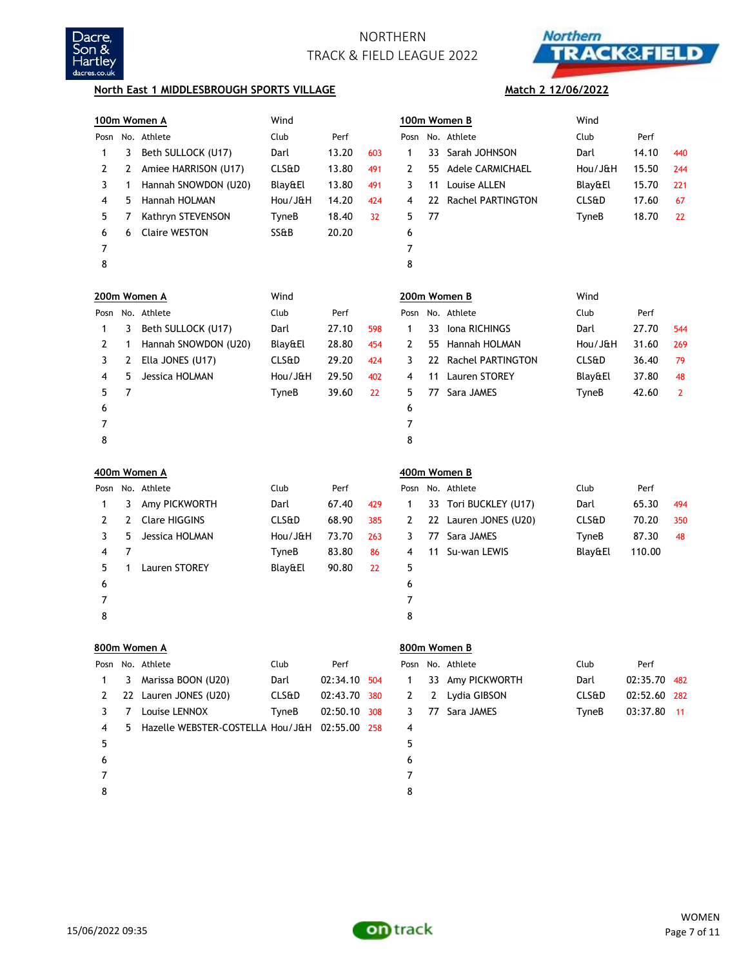



**Match 2 12/06/2022**

### **North East 1 MIDDLESBROUGH SPORTS VILLAGE**

|      |    | 100m Women A                     | Wind             |              |     |                |    | 100m Women B             | Wind             |              |              |
|------|----|----------------------------------|------------------|--------------|-----|----------------|----|--------------------------|------------------|--------------|--------------|
| Posn |    | No. Athlete                      | Club             | Perf         |     | Posn           |    | No. Athlete              | Club             | Perf         |              |
| 1    | 3  | Beth SULLOCK (U17)               | Darl             | 13.20        | 603 | 1              | 33 | Sarah JOHNSON            | Darl             | 14.10        | 440          |
| 2    | 2  | Amiee HARRISON (U17)             | <b>CLS&amp;D</b> | 13.80        | 491 | 2              | 55 | <b>Adele CARMICHAEL</b>  | Hou/J&H          | 15.50        | 244          |
| 3    | 1  | Hannah SNOWDON (U20)             | Blay&El          | 13.80        | 491 | 3              | 11 | Louise ALLEN             | Blay&El          | 15.70        | 221          |
| 4    | 5  | Hannah HOLMAN                    | Hou/J&H          | 14.20        | 424 | 4              | 22 | <b>Rachel PARTINGTON</b> | CLS&D            | 17.60        | 67           |
| 5    | 7  | Kathryn STEVENSON                | TyneB            | 18.40        | 32  | 5              | 77 |                          | TyneB            | 18.70        | 22           |
| 6    | 6  | <b>Claire WESTON</b>             | SS&B             | 20.20        |     | 6              |    |                          |                  |              |              |
| 7    |    |                                  |                  |              |     | $\overline{7}$ |    |                          |                  |              |              |
| 8    |    |                                  |                  |              |     | 8              |    |                          |                  |              |              |
|      |    | 200m Women A                     | Wind             |              |     |                |    | 200m Women B             | Wind             |              |              |
| Posn |    | No. Athlete                      | Club             | Perf         |     | Posn           |    | No. Athlete              | Club             | Perf         |              |
| 1    | 3  | Beth SULLOCK (U17)               | Darl             | 27.10        | 598 | 1              | 33 | Iona RICHINGS            | Darl             | 27.70        | 544          |
| 2    | 1  | Hannah SNOWDON (U20)             | Blay&El          | 28.80        | 454 | 2              | 55 | Hannah HOLMAN            | Hou/J&H          | 31.60        | 269          |
| 3    | 2  | Ella JONES (U17)                 | <b>CLS&amp;D</b> | 29.20        | 424 | 3              | 22 | <b>Rachel PARTINGTON</b> | CLS&D            | 36.40        | 79           |
| 4    | 5  | Jessica HOLMAN                   | Hou/J&H          | 29.50        | 402 | 4              | 11 | Lauren STOREY            | Blay&El          | 37.80        | 48           |
| 5    | 7  |                                  | TyneB            | 39.60        | 22  | 5              | 77 | Sara JAMES               | TyneB            | 42.60        | $\mathbf{2}$ |
| 6    |    |                                  |                  |              |     | 6              |    |                          |                  |              |              |
| 7    |    |                                  |                  |              |     | $\overline{7}$ |    |                          |                  |              |              |
| 8    |    |                                  |                  |              |     | 8              |    |                          |                  |              |              |
|      |    |                                  |                  |              |     |                |    |                          |                  |              |              |
|      |    | 400m Women A                     |                  |              |     |                |    | 400m Women B             |                  |              |              |
| Posn |    | No. Athlete                      | Club             | Perf         |     | Posn           |    | No. Athlete              | Club             | Perf         |              |
| 1    | 3  | Amy PICKWORTH                    | Darl             | 67.40        | 429 | 1              | 33 | Tori BUCKLEY (U17)       | Darl             | 65.30        | 494          |
| 2    | 2  | <b>Clare HIGGINS</b>             | <b>CLS&amp;D</b> | 68.90        | 385 | 2              |    | 22 Lauren JONES (U20)    | <b>CLS&amp;D</b> | 70.20        | 350          |
| 3    | 5  | Jessica HOLMAN                   | Hou/J&H          | 73.70        | 263 | 3              | 77 | Sara JAMES               | TyneB            | 87.30        | 48           |
| 4    | 7  |                                  | TyneB            | 83.80        | 86  | 4              | 11 | Su-wan LEWIS             | Blay&El          | 110.00       |              |
| 5    | 1  | Lauren STOREY                    | Blay&El          | 90.80        | 22  | 5              |    |                          |                  |              |              |
| 6    |    |                                  |                  |              |     | 6              |    |                          |                  |              |              |
| 7    |    |                                  |                  |              |     | 7              |    |                          |                  |              |              |
| 8    |    |                                  |                  |              |     | 8              |    |                          |                  |              |              |
|      |    | 800m Women A                     |                  |              |     |                |    | 800m Women B             |                  |              |              |
| Posn |    | No. Athlete                      | Club             | Perf         |     | Posn           |    | No. Athlete              | Club             | Perf         |              |
| 1    | 3  | Marissa BOON (U20)               | Darl             | 02:34.10 504 |     | 1              |    | 33 Amy PICKWORTH         | Darl             | 02:35.70 482 |              |
| 2    |    | 22 Lauren JONES (U20)            | <b>CLS&amp;D</b> | 02:43.70 380 |     | 2              | 2  | Lydia GIBSON             | <b>CLS&amp;D</b> | 02:52.60 282 |              |
| 3    | 7  | Louise LENNOX                    | TyneB            | 02:50.10 308 |     | 3              |    | 77 Sara JAMES            | TyneB            | 03:37.80     | $-11$        |
| 4    | 5. | Hazelle WEBSTER-COSTELLA Hou/J&H |                  | 02:55.00 258 |     | 4              |    |                          |                  |              |              |
| 5    |    |                                  |                  |              |     | 5              |    |                          |                  |              |              |
| 6    |    |                                  |                  |              |     | 6              |    |                          |                  |              |              |
| 7    |    |                                  |                  |              |     | 7              |    |                          |                  |              |              |

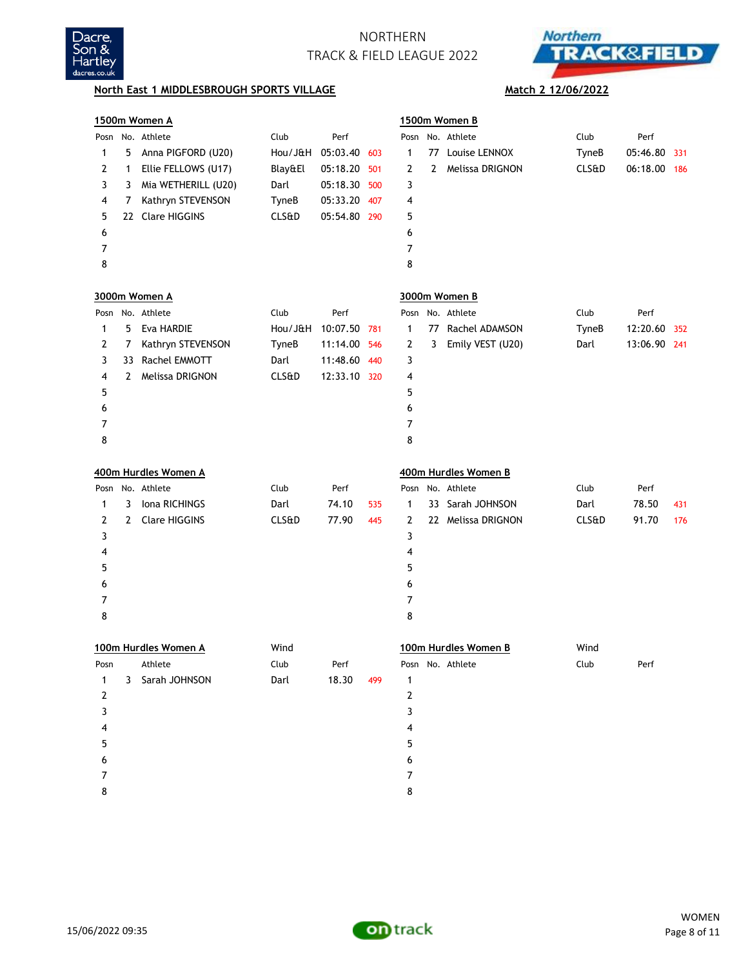



## **North East 1 MIDDLESBROUGH SPORTS VILLAGE Match 2 12/06/2022**

|                |              | 1500m Women A        |                  |              |     |              |    | 1500m Women B        |                  |              |     |
|----------------|--------------|----------------------|------------------|--------------|-----|--------------|----|----------------------|------------------|--------------|-----|
|                |              | Posn No. Athlete     | Club             | Perf         |     | Posn         |    | No. Athlete          | Club             | Perf         |     |
| 1              | 5            | Anna PIGFORD (U20)   | Hou/J&H          | 05:03.40     | 603 | 1            | 77 | Louise LENNOX        | TyneB            | 05:46.80     | 331 |
| 2              | 1            | Ellie FELLOWS (U17)  | Blay&El          | 05:18.20     | 501 | 2            | 2  | Melissa DRIGNON      | <b>CLS&amp;D</b> | 06:18.00     | 186 |
| 3              | 3            | Mia WETHERILL (U20)  | Darl             | 05:18.30     | 500 | 3            |    |                      |                  |              |     |
| 4              | 7            | Kathryn STEVENSON    | TyneB            | 05:33.20     | 407 | 4            |    |                      |                  |              |     |
| 5              |              | 22 Clare HIGGINS     | <b>CLS&amp;D</b> | 05:54.80 290 |     | 5            |    |                      |                  |              |     |
| 6              |              |                      |                  |              |     | 6            |    |                      |                  |              |     |
| 7              |              |                      |                  |              |     | 7            |    |                      |                  |              |     |
| 8              |              |                      |                  |              |     | 8            |    |                      |                  |              |     |
|                |              | 3000m Women A        |                  |              |     |              |    | 3000m Women B        |                  |              |     |
|                |              | Posn No. Athlete     | Club             | Perf         |     | Posn         |    | No. Athlete          | Club             | Perf         |     |
| 1              | 5            | Eva HARDIE           | Hou/J&H          | 10:07.50     | 781 | 1            |    | 77 Rachel ADAMSON    | TyneB            | 12:20.60     | 352 |
| 2              | 7            | Kathryn STEVENSON    | TyneB            | 11:14.00     | 546 | 2            | 3  | Emily VEST (U20)     | Darl             | 13:06.90 241 |     |
| 3              | 33           | Rachel EMMOTT        | Darl             | 11:48.60     | 440 | 3            |    |                      |                  |              |     |
| 4              | $\mathbf{2}$ | Melissa DRIGNON      | <b>CLS&amp;D</b> | 12:33.10 320 |     | 4            |    |                      |                  |              |     |
| 5              |              |                      |                  |              |     | 5            |    |                      |                  |              |     |
| 6              |              |                      |                  |              |     | 6            |    |                      |                  |              |     |
| 7              |              |                      |                  |              |     | 7            |    |                      |                  |              |     |
| 8              |              |                      |                  |              |     | 8            |    |                      |                  |              |     |
|                |              | 400m Hurdles Women A |                  |              |     |              |    | 400m Hurdles Women B |                  |              |     |
|                |              | Posn No. Athlete     | Club             | Perf         |     | Posn         |    | No. Athlete          | Club             | Perf         |     |
| 1              | 3            | Iona RICHINGS        | Darl             | 74.10        | 535 | $\mathbf{1}$ |    | 33 Sarah JOHNSON     | Darl             | 78.50        | 431 |
| 2              | 2            | <b>Clare HIGGINS</b> | <b>CLS&amp;D</b> | 77.90        | 445 | 2            |    | 22 Melissa DRIGNON   | <b>CLS&amp;D</b> | 91.70        | 176 |
| 3              |              |                      |                  |              |     | 3            |    |                      |                  |              |     |
| 4              |              |                      |                  |              |     | 4            |    |                      |                  |              |     |
| 5              |              |                      |                  |              |     | 5            |    |                      |                  |              |     |
| 6              |              |                      |                  |              |     | 6            |    |                      |                  |              |     |
| 7              |              |                      |                  |              |     | 7            |    |                      |                  |              |     |
| 8              |              |                      |                  |              |     | 8            |    |                      |                  |              |     |
|                |              | 100m Hurdles Women A | Wind             |              |     |              |    | 100m Hurdles Women B | Wind             |              |     |
|                |              | Posn Athlete         | Club             | Perf         |     |              |    | Posn No. Athlete     | Club             | Perf         |     |
| $\mathbf{1}$   |              | 3 Sarah JOHNSON      | Darl             | 18.30        | 499 | $\mathbf{1}$ |    |                      |                  |              |     |
| $\overline{2}$ |              |                      |                  |              |     | 2            |    |                      |                  |              |     |
| 3              |              |                      |                  |              |     | 3            |    |                      |                  |              |     |
| 4              |              |                      |                  |              |     | 4            |    |                      |                  |              |     |
| 5              |              |                      |                  |              |     | 5            |    |                      |                  |              |     |
| 6              |              |                      |                  |              |     | 6            |    |                      |                  |              |     |
| 7              |              |                      |                  |              |     | 7            |    |                      |                  |              |     |
| 8              |              |                      |                  |              |     | 8            |    |                      |                  |              |     |

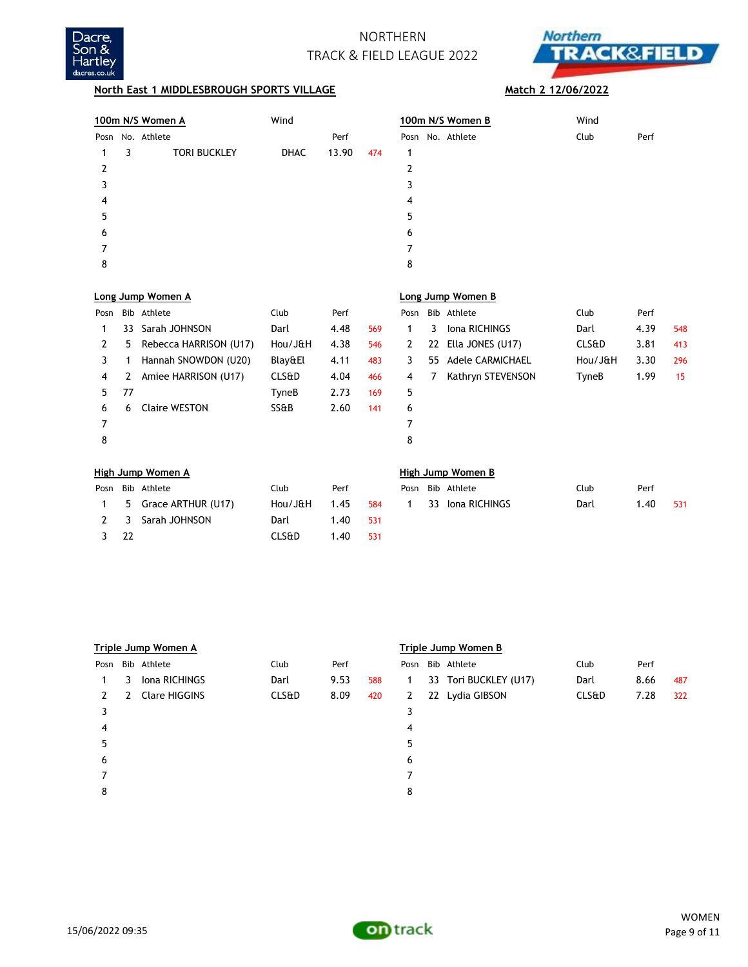



## **North East 1 MIDDLESBROUGH SPORTS VILLAGE Match 2 12/06/2022**

8

|      |    | 100m N/S Women A       | Wind             |       |     |              |    | 100m N/S Women B        | Wind             |      |     |
|------|----|------------------------|------------------|-------|-----|--------------|----|-------------------------|------------------|------|-----|
| Posn |    | No. Athlete            |                  | Perf  |     |              |    | Posn No. Athlete        | Club             | Perf |     |
|      | 3  | <b>TORI BUCKLEY</b>    | <b>DHAC</b>      | 13.90 | 474 | 1            |    |                         |                  |      |     |
| 2    |    |                        |                  |       |     | 2            |    |                         |                  |      |     |
| 3    |    |                        |                  |       |     | 3            |    |                         |                  |      |     |
| 4    |    |                        |                  |       |     | 4            |    |                         |                  |      |     |
| 5    |    |                        |                  |       |     | 5            |    |                         |                  |      |     |
| 6    |    |                        |                  |       |     | 6            |    |                         |                  |      |     |
| 7    |    |                        |                  |       |     | 7            |    |                         |                  |      |     |
| 8    |    |                        |                  |       |     | 8            |    |                         |                  |      |     |
|      |    |                        |                  |       |     |              |    |                         |                  |      |     |
|      |    | Long Jump Women A      |                  |       |     |              |    | Long Jump Women B       |                  |      |     |
| Posn |    | Bib Athlete            | Club             | Perf  |     | Posn         |    | Bib Athlete             | Club             | Perf |     |
| 1    | 33 | Sarah JOHNSON          | Darl             | 4.48  | 569 | 1            | 3  | Iona RICHINGS           | Darl             | 4.39 | 548 |
| 2    | 5  | Rebecca HARRISON (U17) | Hou/J&H          | 4.38  | 546 | $\mathbf{2}$ | 22 | Ella JONES (U17)        | <b>CLS&amp;D</b> | 3.81 | 413 |
| 3    | 1  | Hannah SNOWDON (U20)   | Blay&El          | 4.11  | 483 | 3            | 55 | <b>Adele CARMICHAEL</b> | Hou/J&H          | 3.30 | 296 |
| 4    | 2  | Amiee HARRISON (U17)   | <b>CLS&amp;D</b> | 4.04  | 466 | 4            | 7  | Kathryn STEVENSON       | TyneB            | 1.99 | 15  |
| 5    | 77 |                        | TyneB            | 2.73  | 169 | 5            |    |                         |                  |      |     |
| 6    | 6  | <b>Claire WESTON</b>   | SS&B             | 2.60  | 141 | 6            |    |                         |                  |      |     |
| 7    |    |                        |                  |       |     | 7            |    |                         |                  |      |     |

| High Jump Women A |                        |         |          |     |  |  | High Jump Women B      |      |      |     |  |  |
|-------------------|------------------------|---------|----------|-----|--|--|------------------------|------|------|-----|--|--|
|                   | Posn Bib Athlete       | Club    | Perf     |     |  |  | Posn Bib Athlete       | Club | Perf |     |  |  |
|                   | 1 5 Grace ARTHUR (U17) | Hou/J&H | 1.45     |     |  |  | 584 1 33 Iona RICHINGS | Darl | 1.40 | 531 |  |  |
|                   | 2 3 Sarah JOHNSON      | Darl    | 1.40 531 |     |  |  |                        |      |      |     |  |  |
| -22               |                        | CLS&D   | 40. ا    | 531 |  |  |                        |      |      |     |  |  |

|      | Triple Jump Women A |               |       |      |     | Triple Jump Women B |  |                       |       |      |     |  |
|------|---------------------|---------------|-------|------|-----|---------------------|--|-----------------------|-------|------|-----|--|
| Posn |                     | Bib Athlete   | Club  | Perf |     | Posn                |  | Bib Athlete           | Club  | Perf |     |  |
|      | 3                   | Iona RICHINGS | Darl  | 9.53 | 588 | 1                   |  | 33 Tori BUCKLEY (U17) | Darl  | 8.66 | 487 |  |
| 2    | 2                   | Clare HIGGINS | CLS&D | 8.09 | 420 | $2^{\circ}$         |  | 22 Lydia GIBSON       | CLS&D | 7.28 | 322 |  |
| 3    |                     |               |       |      |     | 3                   |  |                       |       |      |     |  |
| 4    |                     |               |       |      |     | 4                   |  |                       |       |      |     |  |
| 5    |                     |               |       |      |     | 5                   |  |                       |       |      |     |  |
| 6    |                     |               |       |      |     | 6                   |  |                       |       |      |     |  |
|      |                     |               |       |      |     |                     |  |                       |       |      |     |  |
| 8    |                     |               |       |      |     | 8                   |  |                       |       |      |     |  |

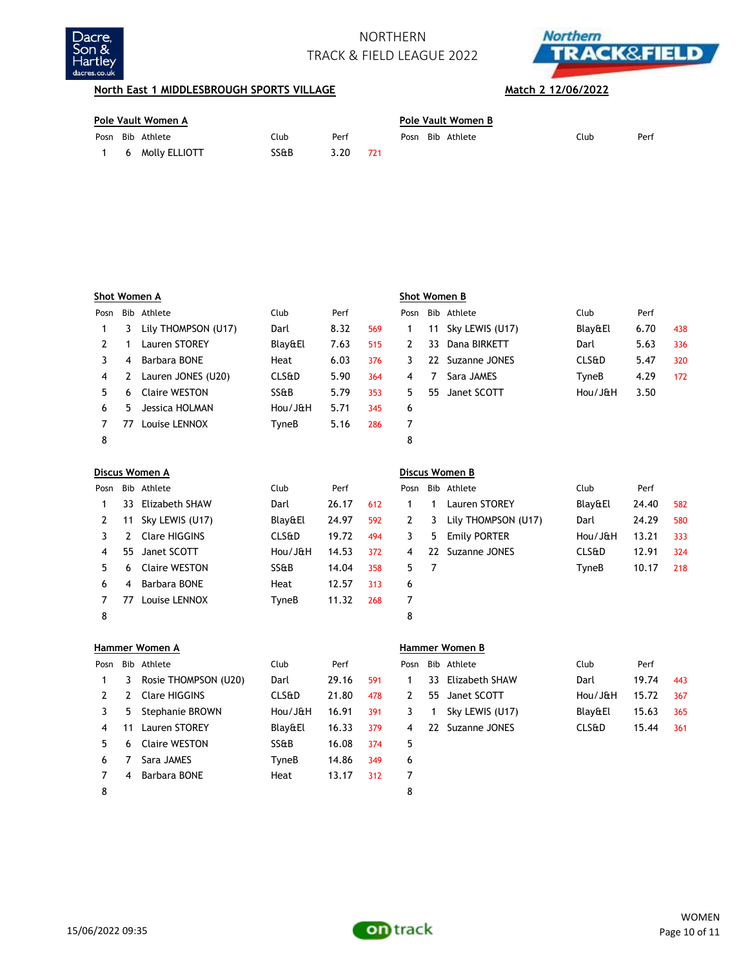



## **North East 1 MIDDLESBROUGH SPORTS VILLAGE Match 2 12/06/2022**

| Pole Vault Women A |  |                   |      |      |  | Pole Vault Women B |  |                  |      |      |  |
|--------------------|--|-------------------|------|------|--|--------------------|--|------------------|------|------|--|
|                    |  | Posn Bib Athlete  | Club | Perf |  |                    |  | Posn Bib Athlete | Club | Perf |  |
|                    |  | 1 6 Molly ELLIOTT | SS&B | 3.20 |  |                    |  |                  |      |      |  |

|      |    | Shot Women A        |                  |      |     |      |     | Shot Women B    |                  |      |     |
|------|----|---------------------|------------------|------|-----|------|-----|-----------------|------------------|------|-----|
| Posn |    | Bib Athlete         | Club             | Perf |     | Posn |     | Bib Athlete     | Club             | Perf |     |
|      | 3  | Lily THOMPSON (U17) | Darl             | 8.32 | 569 |      | 11  | Sky LEWIS (U17) | Blay&El          | 6.70 | 438 |
|      |    | Lauren STOREY       | Blay&El          | 7.63 | 515 |      | 33  | Dana BIRKETT    | Darl             | 5.63 | 336 |
| 3    | 4  | Barbara BONE        | Heat             | 6.03 | 376 | 3    | 22. | Suzanne JONES   | <b>CLS&amp;D</b> | 5.47 | 320 |
| 4    |    | Lauren JONES (U20)  | <b>CLS&amp;D</b> | 5.90 | 364 | 4    |     | Sara JAMES      | TyneB            | 4.29 | 172 |
| 5.   | 6  | Claire WESTON       | SS&B             | 5.79 | 353 | 5.   | 55  | Janet SCOTT     | Hou/J&H          | 3.50 |     |
| 6    | 5. | Jessica HOLMAN      | Hou/J&H          | 5.71 | 345 | 6    |     |                 |                  |      |     |
|      | 77 | Louise LENNOX       | TyneB            | 5.16 | 286 |      |     |                 |                  |      |     |
| 8    |    |                     |                  |      |     | 8    |     |                 |                  |      |     |

|      |    | Discus Women A  |                  |       |     |      |    | Discus Women B      |                  |       |     |
|------|----|-----------------|------------------|-------|-----|------|----|---------------------|------------------|-------|-----|
| Posn |    | Bib Athlete     | Club             | Perf  |     | Posn |    | Bib Athlete         | Club             | Perf  |     |
|      | 33 | Elizabeth SHAW  | Darl             | 26.17 | 612 |      |    | Lauren STOREY       | Blay&El          | 24.40 | 582 |
| 2    | 11 | Sky LEWIS (U17) | Blay&El          | 24.97 | 592 | 2    | 3  | Lily THOMPSON (U17) | Darl             | 24.29 | 580 |
|      |    | Clare HIGGINS   | <b>CLS&amp;D</b> | 19.72 | 494 | 3.   | 5. | Emily PORTER        | Hou/J&H          | 13.21 | 333 |
| 4    | 55 | Janet SCOTT     | Hou/JaH          | 14.53 | 372 | 4    | 22 | Suzanne JONES       | <b>CLS&amp;D</b> | 12.91 | 324 |
| 5.   | 6  | Claire WESTON   | SS&B             | 14.04 | 358 | 5    |    |                     | TyneB            | 10.17 | 218 |
| 6    | 4  | Barbara BONE    | Heat             | 12.57 | 313 | 6    |    |                     |                  |       |     |
|      | 77 | Louise LENNOX   | TyneB            | 11.32 | 268 |      |    |                     |                  |       |     |
| 8    |    |                 |                  |       |     | 8    |    |                     |                  |       |     |

|      | Hammer Women A |                      |                  |       |     |      | <b>Hammer Women B</b> |                 |                  |       |     |  |
|------|----------------|----------------------|------------------|-------|-----|------|-----------------------|-----------------|------------------|-------|-----|--|
| Posn |                | Bib Athlete          | <b>Club</b>      | Perf  |     | Posn |                       | Bib Athlete     | Club             | Perf  |     |  |
|      | 3              | Rosie THOMPSON (U20) | Darl             | 29.16 | 591 |      | 33                    | Elizabeth SHAW  | Darl             | 19.74 | 443 |  |
|      | 2              | Clare HIGGINS        | <b>CLS&amp;D</b> | 21.80 | 478 | 2    | 55                    | Janet SCOTT     | Hou/J&H          | 15.72 | 367 |  |
| 3.   | 5.             | Stephanie BROWN      | Hou/J&H          | 16.91 | 391 | 3.   |                       | Sky LEWIS (U17) | Blay&El          | 15.63 | 365 |  |
| 4    | 11             | Lauren STOREY        | Blay&El          | 16.33 | 379 | 4    | 22                    | Suzanne JONES   | <b>CLS&amp;D</b> | 15.44 | 361 |  |
| 5.   | 6              | Claire WESTON        | SS&B             | 16.08 | 374 | 5    |                       |                 |                  |       |     |  |
| 6    |                | Sara JAMES           | TyneB            | 14.86 | 349 | 6    |                       |                 |                  |       |     |  |
|      | 4              | Barbara BONE         | Heat             | 13.17 | 312 |      |                       |                 |                  |       |     |  |
| 8    |                |                      |                  |       |     | 8    |                       |                 |                  |       |     |  |

### **Women B**

| sn. | Bib Athlete       | Club             | Perf  |     |
|-----|-------------------|------------------|-------|-----|
|     | 33 Elizabeth SHAW | Darl             | 19.74 | 443 |
|     | 55 Janet SCOTT    | Hou/J&H          | 15.72 | 367 |
|     | 1 Sky LEWIS (U17) | Blay&El          | 15.63 | 365 |
|     | 22 Suzanne JONES  | <b>CLS&amp;D</b> | 15.44 | 361 |
|     |                   |                  |       |     |